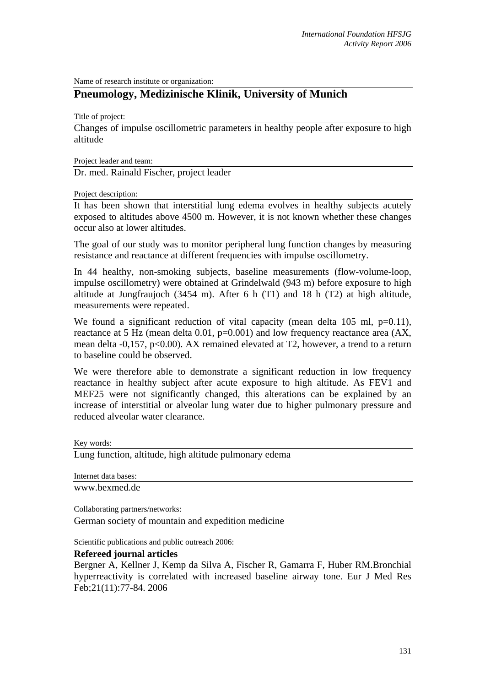Name of research institute or organization:

## **Pneumology, Medizinische Klinik, University of Munich**

Title of project:

Changes of impulse oscillometric parameters in healthy people after exposure to high altitude

Project leader and team:

Dr. med. Rainald Fischer, project leader

Project description:

It has been shown that interstitial lung edema evolves in healthy subjects acutely exposed to altitudes above 4500 m. However, it is not known whether these changes occur also at lower altitudes.

The goal of our study was to monitor peripheral lung function changes by measuring resistance and reactance at different frequencies with impulse oscillometry.

In 44 healthy, non-smoking subjects, baseline measurements (flow-volume-loop, impulse oscillometry) were obtained at Grindelwald (943 m) before exposure to high altitude at Jungfraujoch (3454 m). After 6 h (T1) and 18 h (T2) at high altitude, measurements were repeated.

We found a significant reduction of vital capacity (mean delta  $105$  ml,  $p=0.11$ ), reactance at 5 Hz (mean delta 0.01, p=0.001) and low frequency reactance area (AX, mean delta -0,157, p<0.00). AX remained elevated at T2, however, a trend to a return to baseline could be observed.

We were therefore able to demonstrate a significant reduction in low frequency reactance in healthy subject after acute exposure to high altitude. As FEV1 and MEF25 were not significantly changed, this alterations can be explained by an increase of interstitial or alveolar lung water due to higher pulmonary pressure and reduced alveolar water clearance.

Key words:

Lung function, altitude, high altitude pulmonary edema

Internet data bases: www.bexmed.de

Collaborating partners/networks:

German society of mountain and expedition medicine

Scientific publications and public outreach 2006:

## **Refereed journal articles**

Bergner A, Kellner J, Kemp da Silva A, Fischer R, Gamarra F, Huber RM.Bronchial hyperreactivity is correlated with increased baseline airway tone. Eur J Med Res Feb;21(11):77-84. 2006